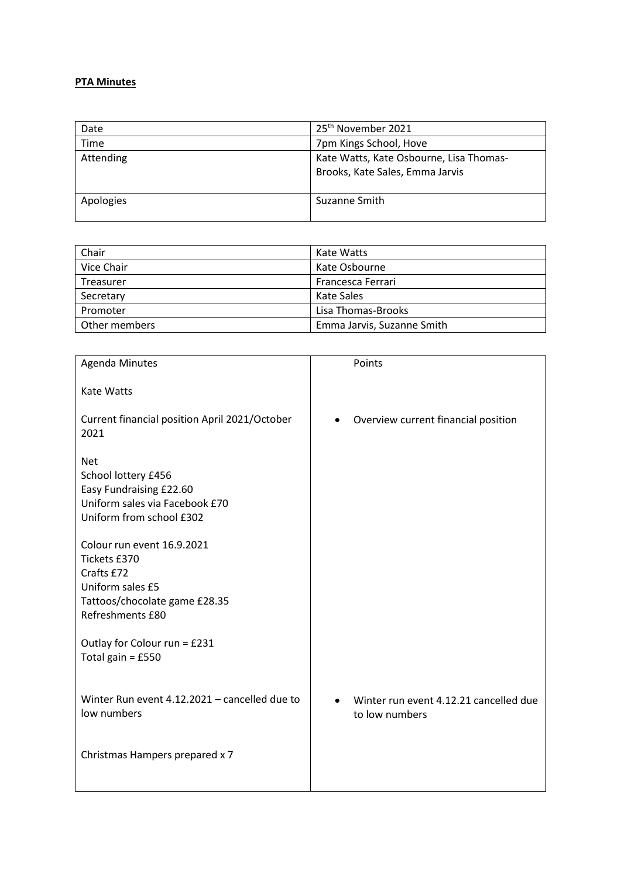## **PTA Minutes**

| Date      | 25 <sup>th</sup> November 2021                                             |
|-----------|----------------------------------------------------------------------------|
| Time      | 7pm Kings School, Hove                                                     |
| Attending | Kate Watts, Kate Osbourne, Lisa Thomas-<br>Brooks, Kate Sales, Emma Jarvis |
| Apologies | Suzanne Smith                                                              |

| Chair         | Kate Watts                 |
|---------------|----------------------------|
| Vice Chair    | Kate Osbourne              |
| Treasurer     | Francesca Ferrari          |
| Secretary     | Kate Sales                 |
| Promoter      | Lisa Thomas-Brooks         |
| Other members | Emma Jarvis, Suzanne Smith |

| <b>Agenda Minutes</b>                                                                                                             | Points                                                   |
|-----------------------------------------------------------------------------------------------------------------------------------|----------------------------------------------------------|
| <b>Kate Watts</b>                                                                                                                 |                                                          |
| Current financial position April 2021/October<br>2021                                                                             | Overview current financial position                      |
| <b>Net</b><br>School lottery £456<br>Easy Fundraising £22.60<br>Uniform sales via Facebook £70<br>Uniform from school £302        |                                                          |
| Colour run event 16.9.2021<br>Tickets £370<br>Crafts £72<br>Uniform sales £5<br>Tattoos/chocolate game £28.35<br>Refreshments £80 |                                                          |
| Outlay for Colour run = £231<br>Total gain = £550                                                                                 |                                                          |
| Winter Run event 4.12.2021 - cancelled due to<br>low numbers                                                                      | Winter run event 4.12.21 cancelled due<br>to low numbers |
| Christmas Hampers prepared x 7                                                                                                    |                                                          |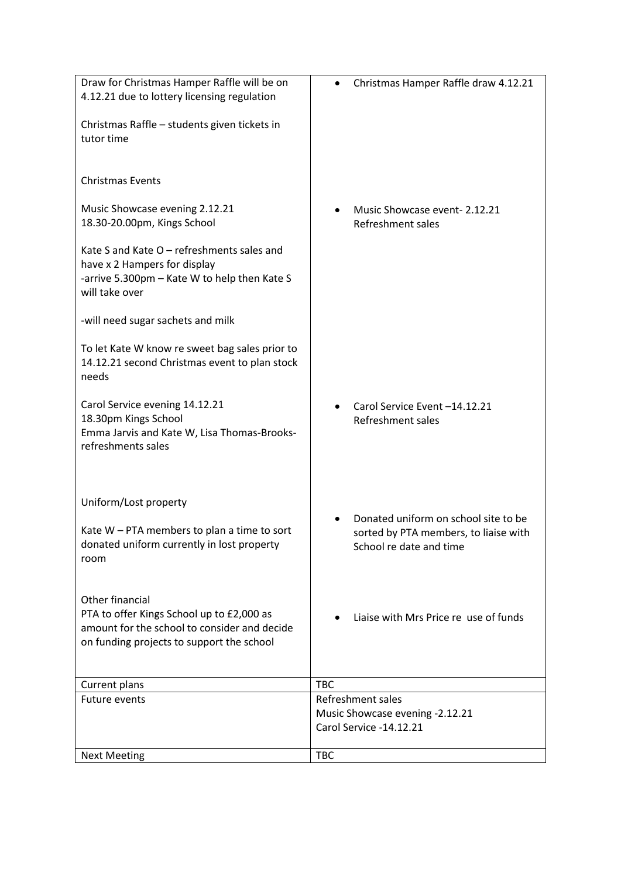| Draw for Christmas Hamper Raffle will be on    | Christmas Hamper Raffle draw 4.12.21  |
|------------------------------------------------|---------------------------------------|
| 4.12.21 due to lottery licensing regulation    |                                       |
|                                                |                                       |
| Christmas Raffle - students given tickets in   |                                       |
| tutor time                                     |                                       |
|                                                |                                       |
|                                                |                                       |
| <b>Christmas Events</b>                        |                                       |
|                                                |                                       |
| Music Showcase evening 2.12.21                 | Music Showcase event-2.12.21          |
| 18.30-20.00pm, Kings School                    | Refreshment sales                     |
|                                                |                                       |
| Kate S and Kate O - refreshments sales and     |                                       |
| have x 2 Hampers for display                   |                                       |
| -arrive 5.300pm - Kate W to help then Kate S   |                                       |
| will take over                                 |                                       |
|                                                |                                       |
| -will need sugar sachets and milk              |                                       |
|                                                |                                       |
| To let Kate W know re sweet bag sales prior to |                                       |
| 14.12.21 second Christmas event to plan stock  |                                       |
| needs                                          |                                       |
|                                                |                                       |
| Carol Service evening 14.12.21                 | Carol Service Event-14.12.21          |
| 18.30pm Kings School                           |                                       |
| Emma Jarvis and Kate W, Lisa Thomas-Brooks-    | Refreshment sales                     |
| refreshments sales                             |                                       |
|                                                |                                       |
|                                                |                                       |
|                                                |                                       |
| Uniform/Lost property                          |                                       |
|                                                |                                       |
|                                                | Donated uniform on school site to be  |
| Kate W - PTA members to plan a time to sort    | sorted by PTA members, to liaise with |
| donated uniform currently in lost property     | School re date and time               |
| room                                           |                                       |
|                                                |                                       |
|                                                |                                       |
| Other financial                                |                                       |
| PTA to offer Kings School up to £2,000 as      | Liaise with Mrs Price re use of funds |
| amount for the school to consider and decide   |                                       |
| on funding projects to support the school      |                                       |
|                                                |                                       |
|                                                |                                       |
| Current plans                                  | <b>TBC</b>                            |
| <b>Future events</b>                           | Refreshment sales                     |
|                                                | Music Showcase evening -2.12.21       |
|                                                | Carol Service -14.12.21               |
|                                                |                                       |
| <b>Next Meeting</b>                            | <b>TBC</b>                            |